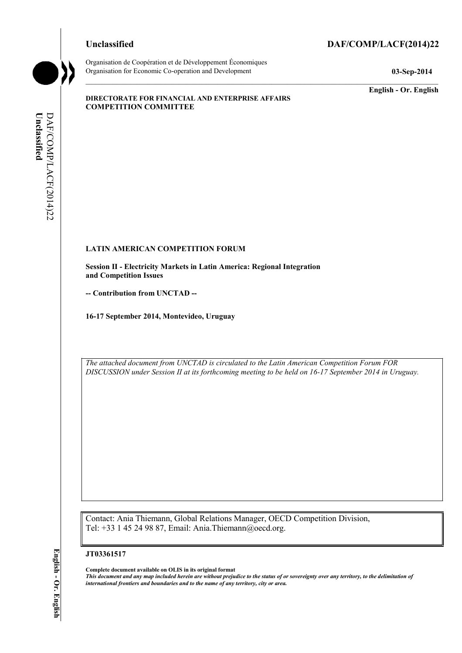### **Unclassified DAF/COMP/LACF(2014)22**



Organisation de Coopération et de Développement Économiques Organisation for Economic Co-operation and Development **03-Sep-2014** 

**English - Or. English** 

#### **DIRECTORATE FOR FINANCIAL AND ENTERPRISE AFFAIRS COMPETITION COMMITTEE**

# Unclassified **Unclassified**  DAF/COMP/LACF(2014)22 DAF/COMP/LACF(2014)22

#### **LATIN AMERICAN COMPETITION FORUM**

**Session II - Electricity Markets in Latin America: Regional Integration and Competition Issues** 

**-- Contribution from UNCTAD --** 

**16-17 September 2014, Montevideo, Uruguay** 

*The attached document from UNCTAD is circulated to the Latin American Competition Forum FOR DISCUSSION under Session II at its forthcoming meeting to be held on 16-17 September 2014 in Uruguay.* 

Contact: Ania Thiemann, Global Relations Manager, OECD Competition Division, Tel: +33 1 45 24 98 87, Email: Ania.Thiemann@oecd.org.

#### **JT03361517**

**Complete document available on OLIS in its original format** *This document and any map included herein are without prejudice to the status of or sovereignty over any territory, to the delimitation of international frontiers and boundaries and to the name of any territory, city or area.*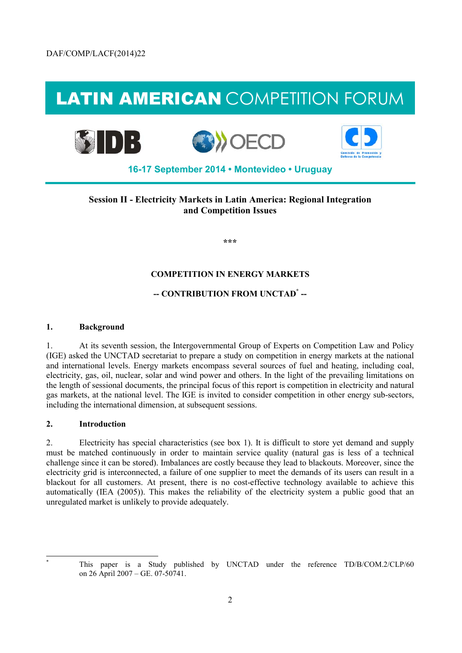## LATIN AMERICAN COMPETITION FORUM



#### **Session II - Electricity Markets in Latin America: Regional Integration and Competition Issues**

**\*\*\*** 

#### **COMPETITION IN ENERGY MARKETS**

#### **-- CONTRIBUTION FROM UNCTAD\* --**

#### **1. Background**

1. At its seventh session, the Intergovernmental Group of Experts on Competition Law and Policy (IGE) asked the UNCTAD secretariat to prepare a study on competition in energy markets at the national and international levels. Energy markets encompass several sources of fuel and heating, including coal, electricity, gas, oil, nuclear, solar and wind power and others. In the light of the prevailing limitations on the length of sessional documents, the principal focus of this report is competition in electricity and natural gas markets, at the national level. The IGE is invited to consider competition in other energy sub-sectors, including the international dimension, at subsequent sessions.

#### **2. Introduction**

2. Electricity has special characteristics (see box 1). It is difficult to store yet demand and supply must be matched continuously in order to maintain service quality (natural gas is less of a technical challenge since it can be stored). Imbalances are costly because they lead to blackouts. Moreover, since the electricity grid is interconnected, a failure of one supplier to meet the demands of its users can result in a blackout for all customers. At present, there is no cost-effective technology available to achieve this automatically (IEA (2005)). This makes the reliability of the electricity system a public good that an unregulated market is unlikely to provide adequately.

 $\overline{a}$ \*

This paper is a Study published by UNCTAD under the reference TD/B/COM.2/CLP/60 on 26 April 2007 – GE. 07-50741.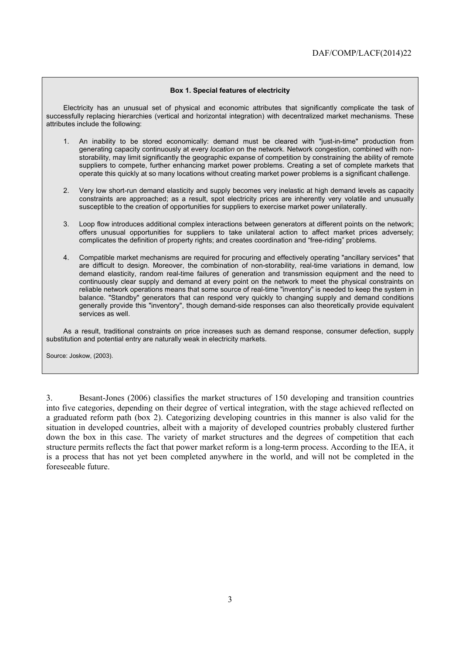#### **Box 1. Special features of electricity**

Electricity has an unusual set of physical and economic attributes that significantly complicate the task of successfully replacing hierarchies (vertical and horizontal integration) with decentralized market mechanisms. These attributes include the following:

- 1. An inability to be stored economically: demand must be cleared with "just-in-time" production from generating capacity continuously at every *location* on the network. Network congestion, combined with nonstorability, may limit significantly the geographic expanse of competition by constraining the ability of remote suppliers to compete, further enhancing market power problems. Creating a set of complete markets that operate this quickly at so many locations without creating market power problems is a significant challenge.
- 2. Very low short-run demand elasticity and supply becomes very inelastic at high demand levels as capacity constraints are approached; as a result, spot electricity prices are inherently very volatile and unusually susceptible to the creation of opportunities for suppliers to exercise market power unilaterally.
- 3. Loop flow introduces additional complex interactions between generators at different points on the network; offers unusual opportunities for suppliers to take unilateral action to affect market prices adversely; complicates the definition of property rights; and creates coordination and "free-riding" problems.
- 4. Compatible market mechanisms are required for procuring and effectively operating "ancillary services" that are difficult to design. Moreover, the combination of non-storability, real-time variations in demand, low demand elasticity, random real-time failures of generation and transmission equipment and the need to continuously clear supply and demand at every point on the network to meet the physical constraints on reliable network operations means that some source of real-time "inventory" is needed to keep the system in balance. "Standby" generators that can respond very quickly to changing supply and demand conditions generally provide this "inventory", though demand-side responses can also theoretically provide equivalent services as well.

As a result, traditional constraints on price increases such as demand response, consumer defection, supply substitution and potential entry are naturally weak in electricity markets.

Source: Joskow, (2003).

3. Besant-Jones (2006) classifies the market structures of 150 developing and transition countries into five categories, depending on their degree of vertical integration, with the stage achieved reflected on a graduated reform path (box 2). Categorizing developing countries in this manner is also valid for the situation in developed countries, albeit with a majority of developed countries probably clustered further down the box in this case. The variety of market structures and the degrees of competition that each structure permits reflects the fact that power market reform is a long-term process. According to the IEA, it is a process that has not yet been completed anywhere in the world, and will not be completed in the foreseeable future.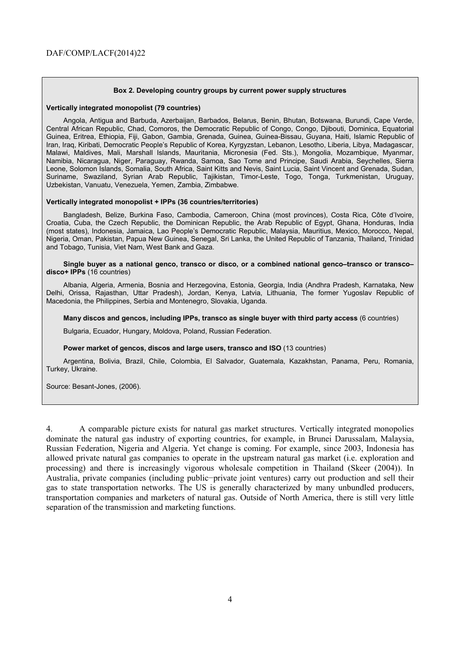#### **Box 2. Developing country groups by current power supply structures**

#### **Vertically integrated monopolist (79 countries)**

Angola, Antigua and Barbuda, Azerbaijan, Barbados, Belarus, Benin, Bhutan, Botswana, Burundi, Cape Verde, Central African Republic, Chad, Comoros, the Democratic Republic of Congo, Congo, Djibouti, Dominica, Equatorial Guinea, Eritrea, Ethiopia, Fiji, Gabon, Gambia, Grenada, Guinea, Guinea-Bissau, Guyana, Haiti, Islamic Republic of Iran, Iraq, Kiribati, Democratic People's Republic of Korea, Kyrgyzstan, Lebanon, Lesotho, Liberia, Libya, Madagascar, Malawi, Maldives, Mali, Marshall Islands, Mauritania, Micronesia (Fed. Sts.), Mongolia, Mozambique, Myanmar, Namibia, Nicaragua, Niger, Paraguay, Rwanda, Samoa, Sao Tome and Principe, Saudi Arabia, Seychelles, Sierra Leone, Solomon Islands, Somalia, South Africa, Saint Kitts and Nevis, Saint Lucia, Saint Vincent and Grenada, Sudan, Suriname, Swaziland, Syrian Arab Republic, Tajikistan, Timor-Leste, Togo, Tonga, Turkmenistan, Uruguay, Uzbekistan, Vanuatu, Venezuela, Yemen, Zambia, Zimbabwe.

#### **Vertically integrated monopolist + IPPs (36 countries/territories)**

Bangladesh, Belize, Burkina Faso, Cambodia, Cameroon, China (most provinces), Costa Rica, Côte d'Ivoire, Croatia, Cuba, the Czech Republic, the Dominican Republic, the Arab Republic of Egypt, Ghana, Honduras, India (most states), Indonesia, Jamaica, Lao People's Democratic Republic, Malaysia, Mauritius, Mexico, Morocco, Nepal, Nigeria, Oman, Pakistan, Papua New Guinea, Senegal, Sri Lanka, the United Republic of Tanzania, Thailand, Trinidad and Tobago, Tunisia, Viet Nam, West Bank and Gaza.

#### **Single buyer as a national genco, transco or disco, or a combined national genco–transco or transco– disco+ IPPs** (16 countries)

Albania, Algeria, Armenia, Bosnia and Herzegovina, Estonia, Georgia, India (Andhra Pradesh, Karnataka, New Delhi, Orissa, Rajasthan, Uttar Pradesh), Jordan, Kenya, Latvia, Lithuania, The former Yugoslav Republic of Macedonia, the Philippines, Serbia and Montenegro, Slovakia, Uganda.

#### **Many discos and gencos, including IPPs, transco as single buyer with third party access** (6 countries)

Bulgaria, Ecuador, Hungary, Moldova, Poland, Russian Federation.

#### **Power market of gencos, discos and large users, transco and ISO** (13 countries)

Argentina, Bolivia, Brazil, Chile, Colombia, El Salvador, Guatemala, Kazakhstan, Panama, Peru, Romania, Turkey, Ukraine.

Source: Besant-Jones, (2006).

4. A comparable picture exists for natural gas market structures. Vertically integrated monopolies dominate the natural gas industry of exporting countries, for example, in Brunei Darussalam, Malaysia, Russian Federation, Nigeria and Algeria. Yet change is coming. For example, since 2003, Indonesia has allowed private natural gas companies to operate in the upstream natural gas market (i.e. exploration and processing) and there is increasingly vigorous wholesale competition in Thailand (Skeer (2004)). In Australia, private companies (including public−private joint ventures) carry out production and sell their gas to state transportation networks. The US is generally characterized by many unbundled producers, transportation companies and marketers of natural gas. Outside of North America, there is still very little separation of the transmission and marketing functions.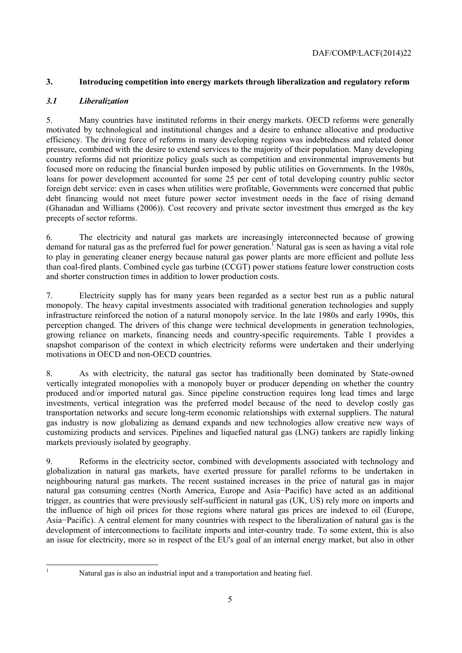#### **3. Introducing competition into energy markets through liberalization and regulatory reform**

#### *3.1 Liberalization*

5. Many countries have instituted reforms in their energy markets. OECD reforms were generally motivated by technological and institutional changes and a desire to enhance allocative and productive efficiency. The driving force of reforms in many developing regions was indebtedness and related donor pressure, combined with the desire to extend services to the majority of their population. Many developing country reforms did not prioritize policy goals such as competition and environmental improvements but focused more on reducing the financial burden imposed by public utilities on Governments. In the 1980s, loans for power development accounted for some 25 per cent of total developing country public sector foreign debt service: even in cases when utilities were profitable, Governments were concerned that public debt financing would not meet future power sector investment needs in the face of rising demand (Ghanadan and Williams (2006)). Cost recovery and private sector investment thus emerged as the key precepts of sector reforms.

6. The electricity and natural gas markets are increasingly interconnected because of growing demand for natural gas as the preferred fuel for power generation.<sup>1</sup> Natural gas is seen as having a vital role to play in generating cleaner energy because natural gas power plants are more efficient and pollute less than coal-fired plants. Combined cycle gas turbine (CCGT) power stations feature lower construction costs and shorter construction times in addition to lower production costs.

7. Electricity supply has for many years been regarded as a sector best run as a public natural monopoly. The heavy capital investments associated with traditional generation technologies and supply infrastructure reinforced the notion of a natural monopoly service. In the late 1980s and early 1990s, this perception changed. The drivers of this change were technical developments in generation technologies, growing reliance on markets, financing needs and country-specific requirements. Table 1 provides a snapshot comparison of the context in which electricity reforms were undertaken and their underlying motivations in OECD and non-OECD countries.

8. As with electricity, the natural gas sector has traditionally been dominated by State-owned vertically integrated monopolies with a monopoly buyer or producer depending on whether the country produced and/or imported natural gas. Since pipeline construction requires long lead times and large investments, vertical integration was the preferred model because of the need to develop costly gas transportation networks and secure long-term economic relationships with external suppliers. The natural gas industry is now globalizing as demand expands and new technologies allow creative new ways of customizing products and services. Pipelines and liquefied natural gas (LNG) tankers are rapidly linking markets previously isolated by geography.

9. Reforms in the electricity sector, combined with developments associated with technology and globalization in natural gas markets, have exerted pressure for parallel reforms to be undertaken in neighbouring natural gas markets. The recent sustained increases in the price of natural gas in major natural gas consuming centres (North America, Europe and Asia−Pacific) have acted as an additional trigger, as countries that were previously self-sufficient in natural gas (UK, US) rely more on imports and the influence of high oil prices for those regions where natural gas prices are indexed to oil (Europe, Asia−Pacific). A central element for many countries with respect to the liberalization of natural gas is the development of interconnections to facilitate imports and inter-country trade. To some extent, this is also an issue for electricity, more so in respect of the EU's goal of an internal energy market, but also in other

 1

Natural gas is also an industrial input and a transportation and heating fuel.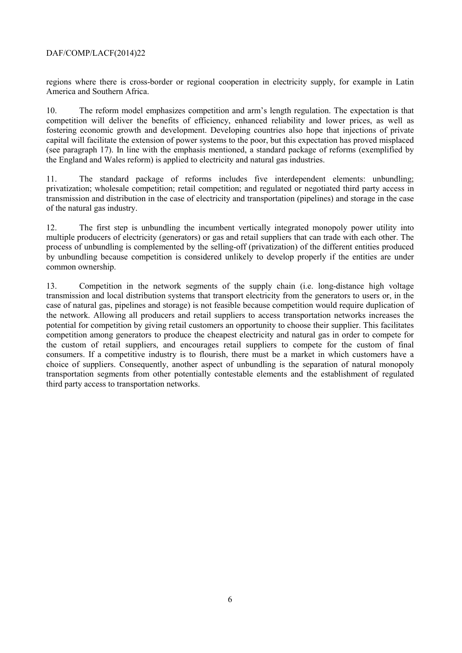regions where there is cross-border or regional cooperation in electricity supply, for example in Latin America and Southern Africa.

10. The reform model emphasizes competition and arm's length regulation. The expectation is that competition will deliver the benefits of efficiency, enhanced reliability and lower prices, as well as fostering economic growth and development. Developing countries also hope that injections of private capital will facilitate the extension of power systems to the poor, but this expectation has proved misplaced (see paragraph 17). In line with the emphasis mentioned, a standard package of reforms (exemplified by the England and Wales reform) is applied to electricity and natural gas industries.

11. The standard package of reforms includes five interdependent elements: unbundling; privatization; wholesale competition; retail competition; and regulated or negotiated third party access in transmission and distribution in the case of electricity and transportation (pipelines) and storage in the case of the natural gas industry.

12. The first step is unbundling the incumbent vertically integrated monopoly power utility into multiple producers of electricity (generators) or gas and retail suppliers that can trade with each other. The process of unbundling is complemented by the selling-off (privatization) of the different entities produced by unbundling because competition is considered unlikely to develop properly if the entities are under common ownership.

13. Competition in the network segments of the supply chain (i.e. long-distance high voltage transmission and local distribution systems that transport electricity from the generators to users or, in the case of natural gas, pipelines and storage) is not feasible because competition would require duplication of the network. Allowing all producers and retail suppliers to access transportation networks increases the potential for competition by giving retail customers an opportunity to choose their supplier. This facilitates competition among generators to produce the cheapest electricity and natural gas in order to compete for the custom of retail suppliers, and encourages retail suppliers to compete for the custom of final consumers. If a competitive industry is to flourish, there must be a market in which customers have a choice of suppliers. Consequently, another aspect of unbundling is the separation of natural monopoly transportation segments from other potentially contestable elements and the establishment of regulated third party access to transportation networks.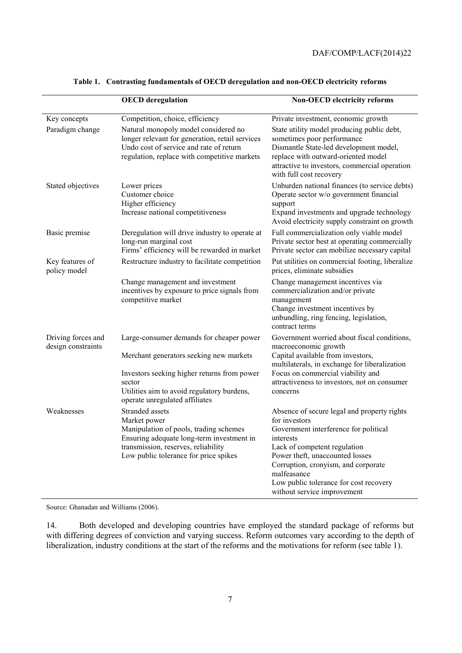|                                          | <b>OECD</b> deregulation                                                                                                                                                                               | <b>Non-OECD electricity reforms</b>                                                                                                                                                                                                                                                                                  |
|------------------------------------------|--------------------------------------------------------------------------------------------------------------------------------------------------------------------------------------------------------|----------------------------------------------------------------------------------------------------------------------------------------------------------------------------------------------------------------------------------------------------------------------------------------------------------------------|
| Key concepts                             | Competition, choice, efficiency                                                                                                                                                                        | Private investment, economic growth                                                                                                                                                                                                                                                                                  |
| Paradigm change                          | Natural monopoly model considered no<br>longer relevant for generation, retail services<br>Undo cost of service and rate of return<br>regulation, replace with competitive markets                     | State utility model producing public debt,<br>sometimes poor performance<br>Dismantle State-led development model,<br>replace with outward-oriented model<br>attractive to investors, commercial operation<br>with full cost recovery                                                                                |
| Stated objectives                        | Lower prices<br>Customer choice<br>Higher efficiency<br>Increase national competitiveness                                                                                                              | Unburden national finances (to service debts)<br>Operate sector w/o government financial<br>support<br>Expand investments and upgrade technology<br>Avoid electricity supply constraint on growth                                                                                                                    |
| Basic premise                            | Deregulation will drive industry to operate at<br>long-run marginal cost<br>Firms' efficiency will be rewarded in market                                                                               | Full commercialization only viable model<br>Private sector best at operating commercially<br>Private sector can mobilize necessary capital                                                                                                                                                                           |
| Key features of<br>policy model          | Restructure industry to facilitate competition                                                                                                                                                         | Put utilities on commercial footing, liberalize<br>prices, eliminate subsidies                                                                                                                                                                                                                                       |
|                                          | Change management and investment<br>incentives by exposure to price signals from<br>competitive market                                                                                                 | Change management incentives via<br>commercialization and/or private<br>management<br>Change investment incentives by<br>unbundling, ring fencing, legislation,<br>contract terms                                                                                                                                    |
| Driving forces and<br>design constraints | Large-consumer demands for cheaper power<br>Merchant generators seeking new markets<br>Investors seeking higher returns from power                                                                     | Government worried about fiscal conditions,<br>macroeconomic growth<br>Capital available from investors,<br>multilaterals, in exchange for liberalization<br>Focus on commercial viability and                                                                                                                       |
|                                          | sector<br>Utilities aim to avoid regulatory burdens,<br>operate unregulated affiliates                                                                                                                 | attractiveness to investors, not on consumer<br>concerns                                                                                                                                                                                                                                                             |
| Weaknesses                               | Stranded assets<br>Market power<br>Manipulation of pools, trading schemes<br>Ensuring adequate long-term investment in<br>transmission, reserves, reliability<br>Low public tolerance for price spikes | Absence of secure legal and property rights<br>for investors<br>Government interference for political<br>interests<br>Lack of competent regulation<br>Power theft, unaccounted losses<br>Corruption, cronyism, and corporate<br>malfeasance<br>Low public tolerance for cost recovery<br>without service improvement |

**Table 1. Contrasting fundamentals of OECD deregulation and non-OECD electricity reforms** 

Source: Ghanadan and Williams (2006).

14. Both developed and developing countries have employed the standard package of reforms but with differing degrees of conviction and varying success. Reform outcomes vary according to the depth of liberalization, industry conditions at the start of the reforms and the motivations for reform (see table 1).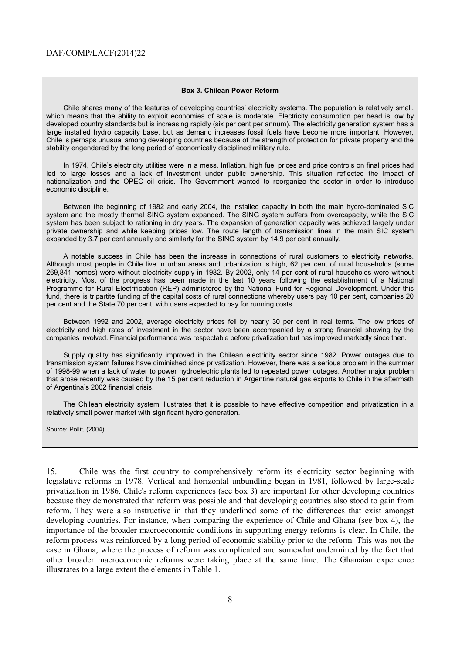#### **Box 3. Chilean Power Reform**

Chile shares many of the features of developing countries' electricity systems. The population is relatively small, which means that the ability to exploit economies of scale is moderate. Electricity consumption per head is low by developed country standards but is increasing rapidly (six per cent per annum). The electricity generation system has a large installed hydro capacity base, but as demand increases fossil fuels have become more important. However, Chile is perhaps unusual among developing countries because of the strength of protection for private property and the stability engendered by the long period of economically disciplined military rule.

In 1974, Chile's electricity utilities were in a mess. Inflation, high fuel prices and price controls on final prices had led to large losses and a lack of investment under public ownership. This situation reflected the impact of nationalization and the OPEC oil crisis. The Government wanted to reorganize the sector in order to introduce economic discipline.

Between the beginning of 1982 and early 2004, the installed capacity in both the main hydro-dominated SIC system and the mostly thermal SING system expanded. The SING system suffers from overcapacity, while the SIC system has been subject to rationing in dry years. The expansion of generation capacity was achieved largely under private ownership and while keeping prices low. The route length of transmission lines in the main SIC system expanded by 3.7 per cent annually and similarly for the SING system by 14.9 per cent annually.

A notable success in Chile has been the increase in connections of rural customers to electricity networks. Although most people in Chile live in urban areas and urbanization is high, 62 per cent of rural households (some 269,841 homes) were without electricity supply in 1982. By 2002, only 14 per cent of rural households were without electricity. Most of the progress has been made in the last 10 years following the establishment of a National Programme for Rural Electrification (REP) administered by the National Fund for Regional Development. Under this fund, there is tripartite funding of the capital costs of rural connections whereby users pay 10 per cent, companies 20 per cent and the State 70 per cent, with users expected to pay for running costs.

Between 1992 and 2002, average electricity prices fell by nearly 30 per cent in real terms. The low prices of electricity and high rates of investment in the sector have been accompanied by a strong financial showing by the companies involved. Financial performance was respectable before privatization but has improved markedly since then.

Supply quality has significantly improved in the Chilean electricity sector since 1982. Power outages due to transmission system failures have diminished since privatization. However, there was a serious problem in the summer of 1998-99 when a lack of water to power hydroelectric plants led to repeated power outages. Another major problem that arose recently was caused by the 15 per cent reduction in Argentine natural gas exports to Chile in the aftermath of Argentina's 2002 financial crisis.

The Chilean electricity system illustrates that it is possible to have effective competition and privatization in a relatively small power market with significant hydro generation.

Source: Pollit, (2004).

15. Chile was the first country to comprehensively reform its electricity sector beginning with legislative reforms in 1978. Vertical and horizontal unbundling began in 1981, followed by large-scale privatization in 1986. Chile's reform experiences (see box 3) are important for other developing countries because they demonstrated that reform was possible and that developing countries also stood to gain from reform. They were also instructive in that they underlined some of the differences that exist amongst developing countries. For instance, when comparing the experience of Chile and Ghana (see box 4), the importance of the broader macroeconomic conditions in supporting energy reforms is clear. In Chile, the reform process was reinforced by a long period of economic stability prior to the reform. This was not the case in Ghana, where the process of reform was complicated and somewhat undermined by the fact that other broader macroeconomic reforms were taking place at the same time. The Ghanaian experience illustrates to a large extent the elements in Table 1.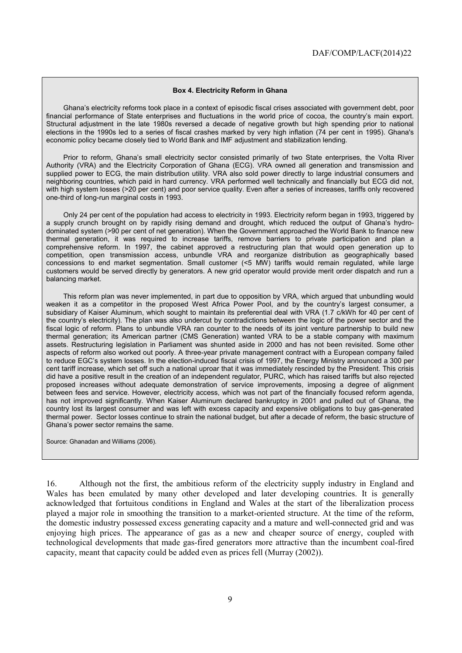#### **Box 4. Electricity Reform in Ghana**

Ghana's electricity reforms took place in a context of episodic fiscal crises associated with government debt, poor financial performance of State enterprises and fluctuations in the world price of cocoa, the country's main export. Structural adjustment in the late 1980s reversed a decade of negative growth but high spending prior to national elections in the 1990s led to a series of fiscal crashes marked by very high inflation (74 per cent in 1995). Ghana's economic policy became closely tied to World Bank and IMF adjustment and stabilization lending.

Prior to reform, Ghana's small electricity sector consisted primarily of two State enterprises, the Volta River Authority (VRA) and the Electricity Corporation of Ghana (ECG). VRA owned all generation and transmission and supplied power to ECG, the main distribution utility. VRA also sold power directly to large industrial consumers and neighboring countries, which paid in hard currency. VRA performed well technically and financially but ECG did not, with high system losses (>20 per cent) and poor service quality. Even after a series of increases, tariffs only recovered one-third of long-run marginal costs in 1993.

Only 24 per cent of the population had access to electricity in 1993. Electricity reform began in 1993, triggered by a supply crunch brought on by rapidly rising demand and drought, which reduced the output of Ghana's hydrodominated system (>90 per cent of net generation). When the Government approached the World Bank to finance new thermal generation, it was required to increase tariffs, remove barriers to private participation and plan a comprehensive reform. In 1997, the cabinet approved a restructuring plan that would open generation up to competition, open transmission access, unbundle VRA and reorganize distribution as geographically based concessions to end market segmentation. Small customer (<5 MW) tariffs would remain regulated, while large customers would be served directly by generators. A new grid operator would provide merit order dispatch and run a balancing market.

This reform plan was never implemented, in part due to opposition by VRA, which argued that unbundling would weaken it as a competitor in the proposed West Africa Power Pool, and by the country's largest consumer, a subsidiary of Kaiser Aluminum, which sought to maintain its preferential deal with VRA (1.7 c/kWh for 40 per cent of the country's electricity). The plan was also undercut by contradictions between the logic of the power sector and the fiscal logic of reform. Plans to unbundle VRA ran counter to the needs of its joint venture partnership to build new thermal generation; its American partner (CMS Generation) wanted VRA to be a stable company with maximum assets. Restructuring legislation in Parliament was shunted aside in 2000 and has not been revisited. Some other aspects of reform also worked out poorly. A three-year private management contract with a European company failed to reduce EGC's system losses. In the election-induced fiscal crisis of 1997, the Energy Ministry announced a 300 per cent tariff increase, which set off such a national uproar that it was immediately rescinded by the President. This crisis did have a positive result in the creation of an independent regulator, PURC, which has raised tariffs but also rejected proposed increases without adequate demonstration of service improvements, imposing a degree of alignment between fees and service. However, electricity access, which was not part of the financially focused reform agenda, has not improved significantly. When Kaiser Aluminum declared bankruptcy in 2001 and pulled out of Ghana, the country lost its largest consumer and was left with excess capacity and expensive obligations to buy gas-generated thermal power. Sector losses continue to strain the national budget, but after a decade of reform, the basic structure of Ghana's power sector remains the same.

Source: Ghanadan and Williams (2006).

16. Although not the first, the ambitious reform of the electricity supply industry in England and Wales has been emulated by many other developed and later developing countries. It is generally acknowledged that fortuitous conditions in England and Wales at the start of the liberalization process played a major role in smoothing the transition to a market-oriented structure. At the time of the reform, the domestic industry possessed excess generating capacity and a mature and well-connected grid and was enjoying high prices. The appearance of gas as a new and cheaper source of energy, coupled with technological developments that made gas-fired generators more attractive than the incumbent coal-fired capacity, meant that capacity could be added even as prices fell (Murray (2002)).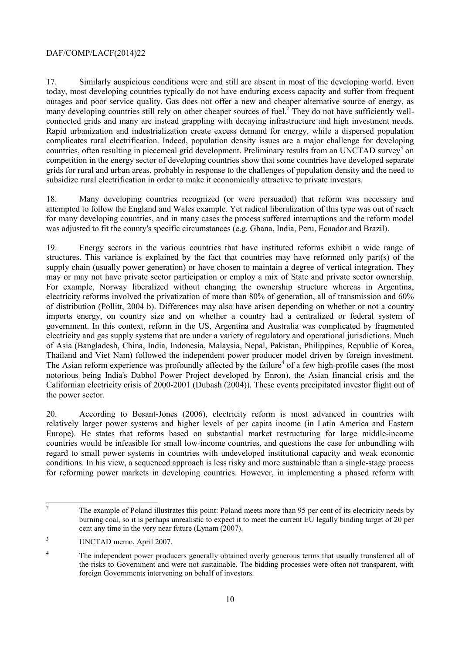17. Similarly auspicious conditions were and still are absent in most of the developing world. Even today, most developing countries typically do not have enduring excess capacity and suffer from frequent outages and poor service quality. Gas does not offer a new and cheaper alternative source of energy, as many developing countries still rely on other cheaper sources of fuel.<sup>2</sup> They do not have sufficiently wellconnected grids and many are instead grappling with decaying infrastructure and high investment needs. Rapid urbanization and industrialization create excess demand for energy, while a dispersed population complicates rural electrification. Indeed, population density issues are a major challenge for developing countries, often resulting in piecemeal grid development. Preliminary results from an UNCTAD survey<sup>3</sup> on competition in the energy sector of developing countries show that some countries have developed separate grids for rural and urban areas, probably in response to the challenges of population density and the need to subsidize rural electrification in order to make it economically attractive to private investors.

18. Many developing countries recognized (or were persuaded) that reform was necessary and attempted to follow the England and Wales example. Yet radical liberalization of this type was out of reach for many developing countries, and in many cases the process suffered interruptions and the reform model was adjusted to fit the county's specific circumstances (e.g. Ghana, India, Peru, Ecuador and Brazil).

19. Energy sectors in the various countries that have instituted reforms exhibit a wide range of structures. This variance is explained by the fact that countries may have reformed only part(s) of the supply chain (usually power generation) or have chosen to maintain a degree of vertical integration. They may or may not have private sector participation or employ a mix of State and private sector ownership. For example, Norway liberalized without changing the ownership structure whereas in Argentina, electricity reforms involved the privatization of more than 80% of generation, all of transmission and 60% of distribution (Pollitt, 2004 b). Differences may also have arisen depending on whether or not a country imports energy, on country size and on whether a country had a centralized or federal system of government. In this context, reform in the US, Argentina and Australia was complicated by fragmented electricity and gas supply systems that are under a variety of regulatory and operational jurisdictions. Much of Asia (Bangladesh, China, India, Indonesia, Malaysia, Nepal, Pakistan, Philippines, Republic of Korea, Thailand and Viet Nam) followed the independent power producer model driven by foreign investment. The Asian reform experience was profoundly affected by the failure<sup>4</sup> of a few high-profile cases (the most notorious being India's Dabhol Power Project developed by Enron), the Asian financial crisis and the Californian electricity crisis of 2000-2001 (Dubash (2004)). These events precipitated investor flight out of the power sector.

20. According to Besant-Jones (2006), electricity reform is most advanced in countries with relatively larger power systems and higher levels of per capita income (in Latin America and Eastern Europe). He states that reforms based on substantial market restructuring for large middle-income countries would be infeasible for small low-income countries, and questions the case for unbundling with regard to small power systems in countries with undeveloped institutional capacity and weak economic conditions. In his view, a sequenced approach is less risky and more sustainable than a single-stage process for reforming power markets in developing countries. However, in implementing a phased reform with

 $\frac{1}{2}$  The example of Poland illustrates this point: Poland meets more than 95 per cent of its electricity needs by burning coal, so it is perhaps unrealistic to expect it to meet the current EU legally binding target of 20 per cent any time in the very near future (Lynam (2007).

<sup>3</sup> UNCTAD memo, April 2007.

<sup>4</sup> The independent power producers generally obtained overly generous terms that usually transferred all of the risks to Government and were not sustainable. The bidding processes were often not transparent, with foreign Governments intervening on behalf of investors.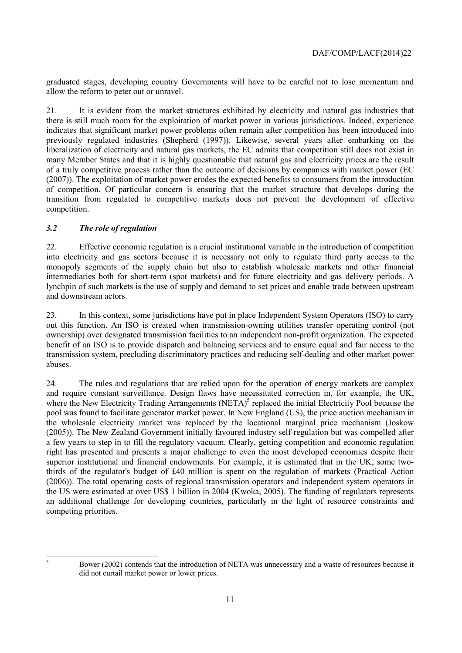graduated stages, developing country Governments will have to be careful not to lose momentum and allow the reform to peter out or unravel.

21. It is evident from the market structures exhibited by electricity and natural gas industries that there is still much room for the exploitation of market power in various jurisdictions. Indeed, experience indicates that significant market power problems often remain after competition has been introduced into previously regulated industries (Shepherd (1997)). Likewise, several years after embarking on the liberalization of electricity and natural gas markets, the EC admits that competition still does not exist in many Member States and that it is highly questionable that natural gas and electricity prices are the result of a truly competitive process rather than the outcome of decisions by companies with market power (EC (2007)). The exploitation of market power erodes the expected benefits to consumers from the introduction of competition. Of particular concern is ensuring that the market structure that develops during the transition from regulated to competitive markets does not prevent the development of effective competition.

#### *3.2 The role of regulation*

22. Effective economic regulation is a crucial institutional variable in the introduction of competition into electricity and gas sectors because it is necessary not only to regulate third party access to the monopoly segments of the supply chain but also to establish wholesale markets and other financial intermediaries both for short-term (spot markets) and for future electricity and gas delivery periods. A lynchpin of such markets is the use of supply and demand to set prices and enable trade between upstream and downstream actors.

23. In this context, some jurisdictions have put in place Independent System Operators (ISO) to carry out this function. An ISO is created when transmission-owning utilities transfer operating control (not ownership) over designated transmission facilities to an independent non-profit organization. The expected benefit of an ISO is to provide dispatch and balancing services and to ensure equal and fair access to the transmission system, precluding discriminatory practices and reducing self-dealing and other market power abuses.

24. The rules and regulations that are relied upon for the operation of energy markets are complex and require constant surveillance. Design flaws have necessitated correction in, for example, the UK, where the New Electricity Trading Arrangements (NETA)<sup>5</sup> replaced the initial Electricity Pool because the pool was found to facilitate generator market power. In New England (US), the price auction mechanism in the wholesale electricity market was replaced by the locational marginal price mechanism (Joskow (2005)). The New Zealand Government initially favoured industry self-regulation but was compelled after a few years to step in to fill the regulatory vacuum. Clearly, getting competition and economic regulation right has presented and presents a major challenge to even the most developed economies despite their superior institutional and financial endowments. For example, it is estimated that in the UK, some twothirds of the regulator's budget of £40 million is spent on the regulation of markets (Practical Action (2006)). The total operating costs of regional transmission operators and independent system operators in the US were estimated at over US\$ 1 billion in 2004 (Kwoka, 2005). The funding of regulators represents an additional challenge for developing countries, particularly in the light of resource constraints and competing priorities.

5

Bower (2002) contends that the introduction of NETA was unnecessary and a waste of resources because it did not curtail market power or lower prices.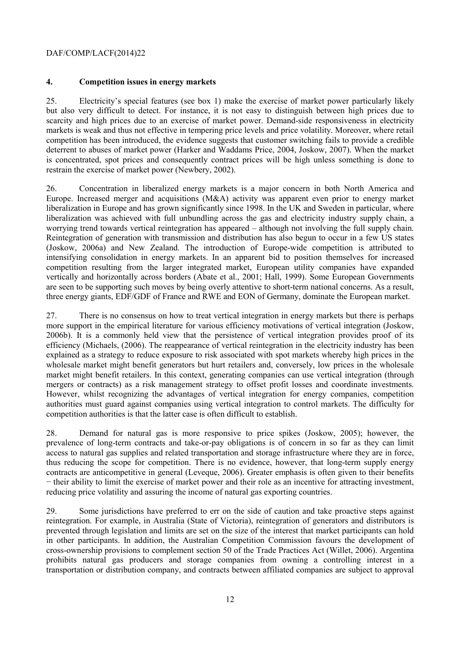#### **4. Competition issues in energy markets**

25. Electricity's special features (see box 1) make the exercise of market power particularly likely but also very difficult to detect. For instance, it is not easy to distinguish between high prices due to scarcity and high prices due to an exercise of market power. Demand-side responsiveness in electricity markets is weak and thus not effective in tempering price levels and price volatility. Moreover, where retail competition has been introduced, the evidence suggests that customer switching fails to provide a credible deterrent to abuses of market power (Harker and Waddams Price, 2004, Joskow, 2007). When the market is concentrated, spot prices and consequently contract prices will be high unless something is done to restrain the exercise of market power (Newbery, 2002).

26. Concentration in liberalized energy markets is a major concern in both North America and Europe. Increased merger and acquisitions (M&A) activity was apparent even prior to energy market liberalization in Europe and has grown significantly since 1998. In the UK and Sweden in particular, where liberalization was achieved with full unbundling across the gas and electricity industry supply chain, a worrying trend towards vertical reintegration has appeared – although not involving the full supply chain. Reintegration of generation with transmission and distribution has also begun to occur in a few US states (Joskow, 2006a) and New Zealand. The introduction of Europe-wide competition is attributed to intensifying consolidation in energy markets. In an apparent bid to position themselves for increased competition resulting from the larger integrated market, European utility companies have expanded vertically and horizontally across borders (Abate et al., 2001; Hall, 1999). Some European Governments are seen to be supporting such moves by being overly attentive to short-term national concerns. As a result, three energy giants, EDF/GDF of France and RWE and EON of Germany, dominate the European market.

27. There is no consensus on how to treat vertical integration in energy markets but there is perhaps more support in the empirical literature for various efficiency motivations of vertical integration (Joskow, 2006b). It is a commonly held view that the persistence of vertical integration provides proof of its efficiency (Michaels, (2006). The reappearance of vertical reintegration in the electricity industry has been explained as a strategy to reduce exposure to risk associated with spot markets whereby high prices in the wholesale market might benefit generators but hurt retailers and, conversely, low prices in the wholesale market might benefit retailers. In this context, generating companies can use vertical integration (through mergers or contracts) as a risk management strategy to offset profit losses and coordinate investments. However, whilst recognizing the advantages of vertical integration for energy companies, competition authorities must guard against companies using vertical integration to control markets. The difficulty for competition authorities is that the latter case is often difficult to establish.

28. Demand for natural gas is more responsive to price spikes (Joskow, 2005); however, the prevalence of long-term contracts and take-or-pay obligations is of concern in so far as they can limit access to natural gas supplies and related transportation and storage infrastructure where they are in force, thus reducing the scope for competition. There is no evidence, however, that long-term supply energy contracts are anticompetitive in general (Leveque, 2006). Greater emphasis is often given to their benefits − their ability to limit the exercise of market power and their role as an incentive for attracting investment, reducing price volatility and assuring the income of natural gas exporting countries.

29. Some jurisdictions have preferred to err on the side of caution and take proactive steps against reintegration. For example, in Australia (State of Victoria), reintegration of generators and distributors is prevented through legislation and limits are set on the size of the interest that market participants can hold in other participants. In addition, the Australian Competition Commission favours the development of cross-ownership provisions to complement section 50 of the Trade Practices Act (Willet, 2006). Argentina prohibits natural gas producers and storage companies from owning a controlling interest in a transportation or distribution company, and contracts between affiliated companies are subject to approval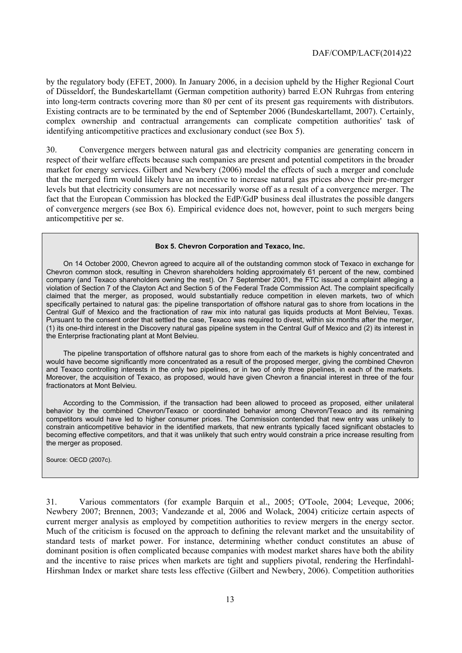by the regulatory body (EFET, 2000). In January 2006, in a decision upheld by the Higher Regional Court of Düsseldorf, the Bundeskartellamt (German competition authority) barred E.ON Ruhrgas from entering into long-term contracts covering more than 80 per cent of its present gas requirements with distributors. Existing contracts are to be terminated by the end of September 2006 (Bundeskartellamt, 2007). Certainly, complex ownership and contractual arrangements can complicate competition authorities' task of identifying anticompetitive practices and exclusionary conduct (see Box 5).

30. Convergence mergers between natural gas and electricity companies are generating concern in respect of their welfare effects because such companies are present and potential competitors in the broader market for energy services. Gilbert and Newbery (2006) model the effects of such a merger and conclude that the merged firm would likely have an incentive to increase natural gas prices above their pre-merger levels but that electricity consumers are not necessarily worse off as a result of a convergence merger. The fact that the European Commission has blocked the EdP/GdP business deal illustrates the possible dangers of convergence mergers (see Box 6). Empirical evidence does not, however, point to such mergers being anticompetitive per se.

#### **Box 5. Chevron Corporation and Texaco, Inc.**

On 14 October 2000, Chevron agreed to acquire all of the outstanding common stock of Texaco in exchange for Chevron common stock, resulting in Chevron shareholders holding approximately 61 percent of the new, combined company (and Texaco shareholders owning the rest). On 7 September 2001, the FTC issued a complaint alleging a violation of Section 7 of the Clayton Act and Section 5 of the Federal Trade Commission Act. The complaint specifically claimed that the merger, as proposed, would substantially reduce competition in eleven markets, two of which specifically pertained to natural gas: the pipeline transportation of offshore natural gas to shore from locations in the Central Gulf of Mexico and the fractionation of raw mix into natural gas liquids products at Mont Belvieu, Texas. Pursuant to the consent order that settled the case, Texaco was required to divest, within six months after the merger, (1) its one-third interest in the Discovery natural gas pipeline system in the Central Gulf of Mexico and (2) its interest in the Enterprise fractionating plant at Mont Belvieu.

The pipeline transportation of offshore natural gas to shore from each of the markets is highly concentrated and would have become significantly more concentrated as a result of the proposed merger, giving the combined Chevron and Texaco controlling interests in the only two pipelines, or in two of only three pipelines, in each of the markets. Moreover, the acquisition of Texaco, as proposed, would have given Chevron a financial interest in three of the four fractionators at Mont Belvieu.

According to the Commission, if the transaction had been allowed to proceed as proposed, either unilateral behavior by the combined Chevron/Texaco or coordinated behavior among Chevron/Texaco and its remaining competitors would have led to higher consumer prices. The Commission contended that new entry was unlikely to constrain anticompetitive behavior in the identified markets, that new entrants typically faced significant obstacles to becoming effective competitors, and that it was unlikely that such entry would constrain a price increase resulting from the merger as proposed.

Source: OECD (2007c).

31. Various commentators (for example Barquin et al., 2005; O'Toole, 2004; Leveque, 2006; Newbery 2007; Brennen, 2003; Vandezande et al, 2006 and Wolack, 2004) criticize certain aspects of current merger analysis as employed by competition authorities to review mergers in the energy sector. Much of the criticism is focused on the approach to defining the relevant market and the unsuitability of standard tests of market power. For instance, determining whether conduct constitutes an abuse of dominant position is often complicated because companies with modest market shares have both the ability and the incentive to raise prices when markets are tight and suppliers pivotal, rendering the Herfindahl-Hirshman Index or market share tests less effective (Gilbert and Newbery, 2006). Competition authorities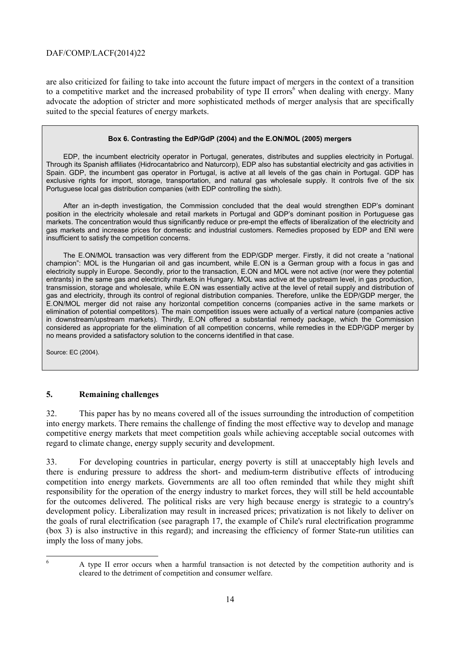are also criticized for failing to take into account the future impact of mergers in the context of a transition to a competitive market and the increased probability of type  $II$  errors<sup>6</sup> when dealing with energy. Many advocate the adoption of stricter and more sophisticated methods of merger analysis that are specifically suited to the special features of energy markets.

#### **Box 6. Contrasting the EdP/GdP (2004) and the E.ON/MOL (2005) mergers**

EDP, the incumbent electricity operator in Portugal, generates, distributes and supplies electricity in Portugal. Through its Spanish affiliates (Hidrocantabrico and Naturcorp), EDP also has substantial electricity and gas activities in Spain. GDP, the incumbent gas operator in Portugal, is active at all levels of the gas chain in Portugal. GDP has exclusive rights for import, storage, transportation, and natural gas wholesale supply. It controls five of the six Portuguese local gas distribution companies (with EDP controlling the sixth).

After an in-depth investigation, the Commission concluded that the deal would strengthen EDP's dominant position in the electricity wholesale and retail markets in Portugal and GDP's dominant position in Portuguese gas markets. The concentration would thus significantly reduce or pre-empt the effects of liberalization of the electricity and gas markets and increase prices for domestic and industrial customers. Remedies proposed by EDP and ENI were insufficient to satisfy the competition concerns.

The E.ON/MOL transaction was very different from the EDP/GDP merger. Firstly, it did not create a "national champion": MOL is the Hungarian oil and gas incumbent, while E.ON is a German group with a focus in gas and electricity supply in Europe. Secondly, prior to the transaction, E.ON and MOL were not active (nor were they potential entrants) in the same gas and electricity markets in Hungary. MOL was active at the upstream level, in gas production, transmission, storage and wholesale, while E.ON was essentially active at the level of retail supply and distribution of gas and electricity, through its control of regional distribution companies. Therefore, unlike the EDP/GDP merger, the E.ON/MOL merger did not raise any horizontal competition concerns (companies active in the same markets or elimination of potential competitors). The main competition issues were actually of a vertical nature (companies active in downstream/upstream markets). Thirdly, E.ON offered a substantial remedy package, which the Commission considered as appropriate for the elimination of all competition concerns, while remedies in the EDP/GDP merger by no means provided a satisfactory solution to the concerns identified in that case.

Source: EC (2004).

#### **5. Remaining challenges**

32. This paper has by no means covered all of the issues surrounding the introduction of competition into energy markets. There remains the challenge of finding the most effective way to develop and manage competitive energy markets that meet competition goals while achieving acceptable social outcomes with regard to climate change, energy supply security and development.

33. For developing countries in particular, energy poverty is still at unacceptably high levels and there is enduring pressure to address the short- and medium-term distributive effects of introducing competition into energy markets. Governments are all too often reminded that while they might shift responsibility for the operation of the energy industry to market forces, they will still be held accountable for the outcomes delivered. The political risks are very high because energy is strategic to a country's development policy. Liberalization may result in increased prices; privatization is not likely to deliver on the goals of rural electrification (see paragraph 17, the example of Chile's rural electrification programme (box 3) is also instructive in this regard); and increasing the efficiency of former State-run utilities can imply the loss of many jobs.

6

A type II error occurs when a harmful transaction is not detected by the competition authority and is cleared to the detriment of competition and consumer welfare.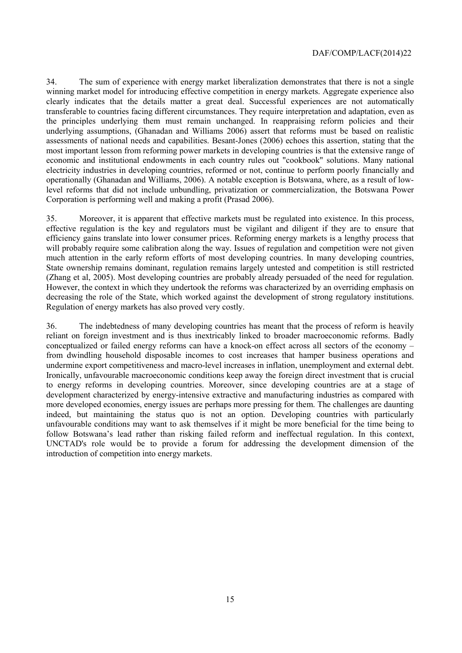34. The sum of experience with energy market liberalization demonstrates that there is not a single winning market model for introducing effective competition in energy markets. Aggregate experience also clearly indicates that the details matter a great deal. Successful experiences are not automatically transferable to countries facing different circumstances. They require interpretation and adaptation, even as the principles underlying them must remain unchanged. In reappraising reform policies and their underlying assumptions, (Ghanadan and Williams 2006) assert that reforms must be based on realistic assessments of national needs and capabilities. Besant-Jones (2006) echoes this assertion, stating that the most important lesson from reforming power markets in developing countries is that the extensive range of economic and institutional endowments in each country rules out "cookbook" solutions. Many national electricity industries in developing countries, reformed or not, continue to perform poorly financially and operationally (Ghanadan and Williams, 2006). A notable exception is Botswana, where, as a result of lowlevel reforms that did not include unbundling, privatization or commercialization, the Botswana Power Corporation is performing well and making a profit (Prasad 2006).

35. Moreover, it is apparent that effective markets must be regulated into existence. In this process, effective regulation is the key and regulators must be vigilant and diligent if they are to ensure that efficiency gains translate into lower consumer prices. Reforming energy markets is a lengthy process that will probably require some calibration along the way. Issues of regulation and competition were not given much attention in the early reform efforts of most developing countries. In many developing countries, State ownership remains dominant, regulation remains largely untested and competition is still restricted (Zhang et al, 2005). Most developing countries are probably already persuaded of the need for regulation. However, the context in which they undertook the reforms was characterized by an overriding emphasis on decreasing the role of the State, which worked against the development of strong regulatory institutions. Regulation of energy markets has also proved very costly.

36. The indebtedness of many developing countries has meant that the process of reform is heavily reliant on foreign investment and is thus inextricably linked to broader macroeconomic reforms. Badly conceptualized or failed energy reforms can have a knock-on effect across all sectors of the economy – from dwindling household disposable incomes to cost increases that hamper business operations and undermine export competitiveness and macro-level increases in inflation, unemployment and external debt. Ironically, unfavourable macroeconomic conditions keep away the foreign direct investment that is crucial to energy reforms in developing countries. Moreover, since developing countries are at a stage of development characterized by energy-intensive extractive and manufacturing industries as compared with more developed economies, energy issues are perhaps more pressing for them. The challenges are daunting indeed, but maintaining the status quo is not an option. Developing countries with particularly unfavourable conditions may want to ask themselves if it might be more beneficial for the time being to follow Botswana's lead rather than risking failed reform and ineffectual regulation. In this context, UNCTAD's role would be to provide a forum for addressing the development dimension of the introduction of competition into energy markets.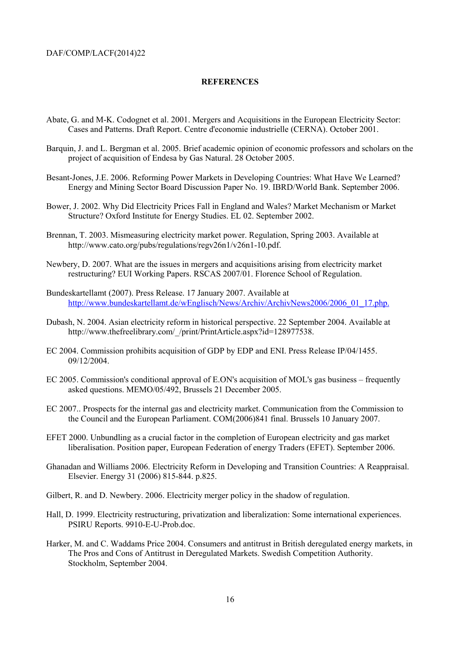#### **REFERENCES**

- Abate, G. and M-K. Codognet et al. 2001. Mergers and Acquisitions in the European Electricity Sector: Cases and Patterns. Draft Report. Centre d'economie industrielle (CERNA). October 2001.
- Barquin, J. and L. Bergman et al. 2005. Brief academic opinion of economic professors and scholars on the project of acquisition of Endesa by Gas Natural. 28 October 2005.
- Besant-Jones, J.E. 2006. Reforming Power Markets in Developing Countries: What Have We Learned? Energy and Mining Sector Board Discussion Paper No. 19. IBRD/World Bank. September 2006.
- Bower, J. 2002. Why Did Electricity Prices Fall in England and Wales? Market Mechanism or Market Structure? Oxford Institute for Energy Studies. EL 02. September 2002.
- Brennan, T. 2003. Mismeasuring electricity market power. Regulation, Spring 2003. Available at http://www.cato.org/pubs/regulations/regv26n1/v26n1-10.pdf.
- Newbery, D. 2007. What are the issues in mergers and acquisitions arising from electricity market restructuring? EUI Working Papers. RSCAS 2007/01. Florence School of Regulation.
- Bundeskartellamt (2007). Press Release. 17 January 2007. Available at http://www.bundeskartellamt.de/wEnglisch/News/Archiv/ArchivNews2006/2006\_01\_17.php.
- Dubash, N. 2004. Asian electricity reform in historical perspective. 22 September 2004. Available at http://www.thefreelibrary.com/ /print/PrintArticle.aspx?id=128977538.
- EC 2004. Commission prohibits acquisition of GDP by EDP and ENI. Press Release IP/04/1455. 09/12/2004.
- EC 2005. Commission's conditional approval of E.ON's acquisition of MOL's gas business frequently asked questions. MEMO/05/492, Brussels 21 December 2005.
- EC 2007.. Prospects for the internal gas and electricity market. Communication from the Commission to the Council and the European Parliament. COM(2006)841 final. Brussels 10 January 2007.
- EFET 2000. Unbundling as a crucial factor in the completion of European electricity and gas market liberalisation. Position paper, European Federation of energy Traders (EFET). September 2006.
- Ghanadan and Williams 2006. Electricity Reform in Developing and Transition Countries: A Reappraisal. Elsevier. Energy 31 (2006) 815-844. p.825.
- Gilbert, R. and D. Newbery. 2006. Electricity merger policy in the shadow of regulation.
- Hall, D. 1999. Electricity restructuring, privatization and liberalization: Some international experiences. PSIRU Reports. 9910-E-U-Prob.doc.
- Harker, M. and C. Waddams Price 2004. Consumers and antitrust in British deregulated energy markets, in The Pros and Cons of Antitrust in Deregulated Markets. Swedish Competition Authority. Stockholm, September 2004.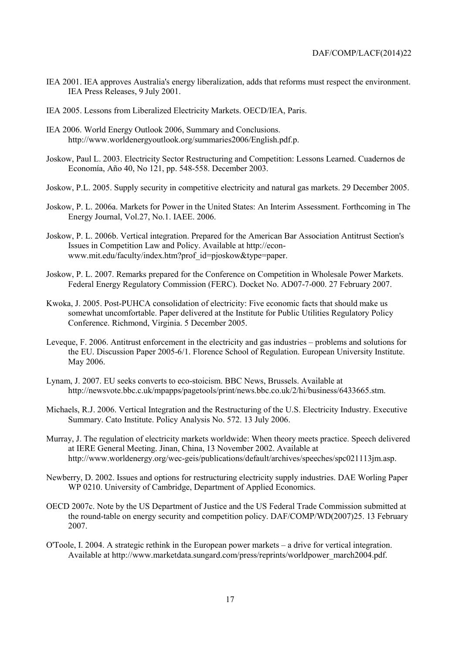- IEA 2001. IEA approves Australia's energy liberalization, adds that reforms must respect the environment. IEA Press Releases, 9 July 2001.
- IEA 2005. Lessons from Liberalized Electricity Markets. OECD/IEA, Paris.
- IEA 2006. World Energy Outlook 2006, Summary and Conclusions. http://www.worldenergyoutlook.org/summaries2006/English.pdf.p.
- Joskow, Paul L. 2003. Electricity Sector Restructuring and Competition: Lessons Learned. Cuadernos de Economía, Año 40, No 121, pp. 548-558. December 2003.
- Joskow, P.L. 2005. Supply security in competitive electricity and natural gas markets. 29 December 2005.
- Joskow, P. L. 2006a. Markets for Power in the United States: An Interim Assessment. Forthcoming in The Energy Journal, Vol.27, No.1. IAEE. 2006.
- Joskow, P. L. 2006b. Vertical integration. Prepared for the American Bar Association Antitrust Section's Issues in Competition Law and Policy. Available at http://econwww.mit.edu/faculty/index.htm?prof\_id=pjoskow&type=paper.
- Joskow, P. L. 2007. Remarks prepared for the Conference on Competition in Wholesale Power Markets. Federal Energy Regulatory Commission (FERC). Docket No. AD07-7-000. 27 February 2007.
- Kwoka, J. 2005. Post-PUHCA consolidation of electricity: Five economic facts that should make us somewhat uncomfortable. Paper delivered at the Institute for Public Utilities Regulatory Policy Conference. Richmond, Virginia. 5 December 2005.
- Leveque, F. 2006. Antitrust enforcement in the electricity and gas industries problems and solutions for the EU. Discussion Paper 2005-6/1. Florence School of Regulation. European University Institute. May 2006.
- Lynam, J. 2007. EU seeks converts to eco-stoicism. BBC News, Brussels. Available at http://newsvote.bbc.c.uk/mpapps/pagetools/print/news.bbc.co.uk/2/hi/business/6433665.stm.
- Michaels, R.J. 2006. Vertical Integration and the Restructuring of the U.S. Electricity Industry. Executive Summary. Cato Institute. Policy Analysis No. 572. 13 July 2006.
- Murray, J. The regulation of electricity markets worldwide: When theory meets practice. Speech delivered at IERE General Meeting. Jinan, China, 13 November 2002. Available at http://www.worldenergy.org/wec-geis/publications/default/archives/speeches/spc021113jm.asp.
- Newberry, D. 2002. Issues and options for restructuring electricity supply industries. DAE Worling Paper WP 0210. University of Cambridge, Department of Applied Economics.
- OECD 2007c. Note by the US Department of Justice and the US Federal Trade Commission submitted at the round-table on energy security and competition policy. DAF/COMP/WD(2007)25. 13 February 2007.
- O'Toole, I. 2004. A strategic rethink in the European power markets a drive for vertical integration. Available at http://www.marketdata.sungard.com/press/reprints/worldpower\_march2004.pdf.